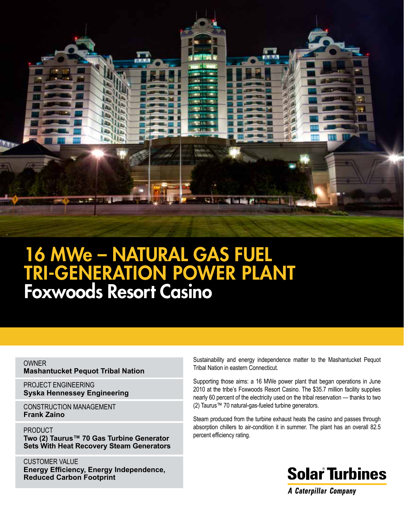

# 16 MWe – Natural Gas Fuel TRI-GENERATION POWER PLANT Foxwoods Resort Casino

OWNER **Mashantucket Pequot Tribal Nation**

PROJECT ENGINEERING **Syska Hennessey Engineering**

CONSTRUCTION Management **Frank Zaino**

PRODUCT **Two (2) Taurus™ 70 Gas Turbine Generator Sets With Heat Recovery Steam Generators**

CUSTOMER VALUE **Energy Efficiency, Energy Independence, Reduced Carbon Footprint**

Sustainability and energy independence matter to the Mashantucket Pequot Tribal Nation in eastern Connecticut.

Supporting those aims: a 16 MWe power plant that began operations in June 2010 at the tribe's Foxwoods Resort Casino. The \$35.7 million facility supplies nearly 60 percent of the electricity used on the tribal reservation — thanks to two (2) Taurus™ 70 natural-gas-fueled turbine generators.

Steam produced from the turbine exhaust heats the casino and passes through absorption chillers to air-condition it in summer. The plant has an overall 82.5 percent efficiency rating.



**A Caterpillar Company**